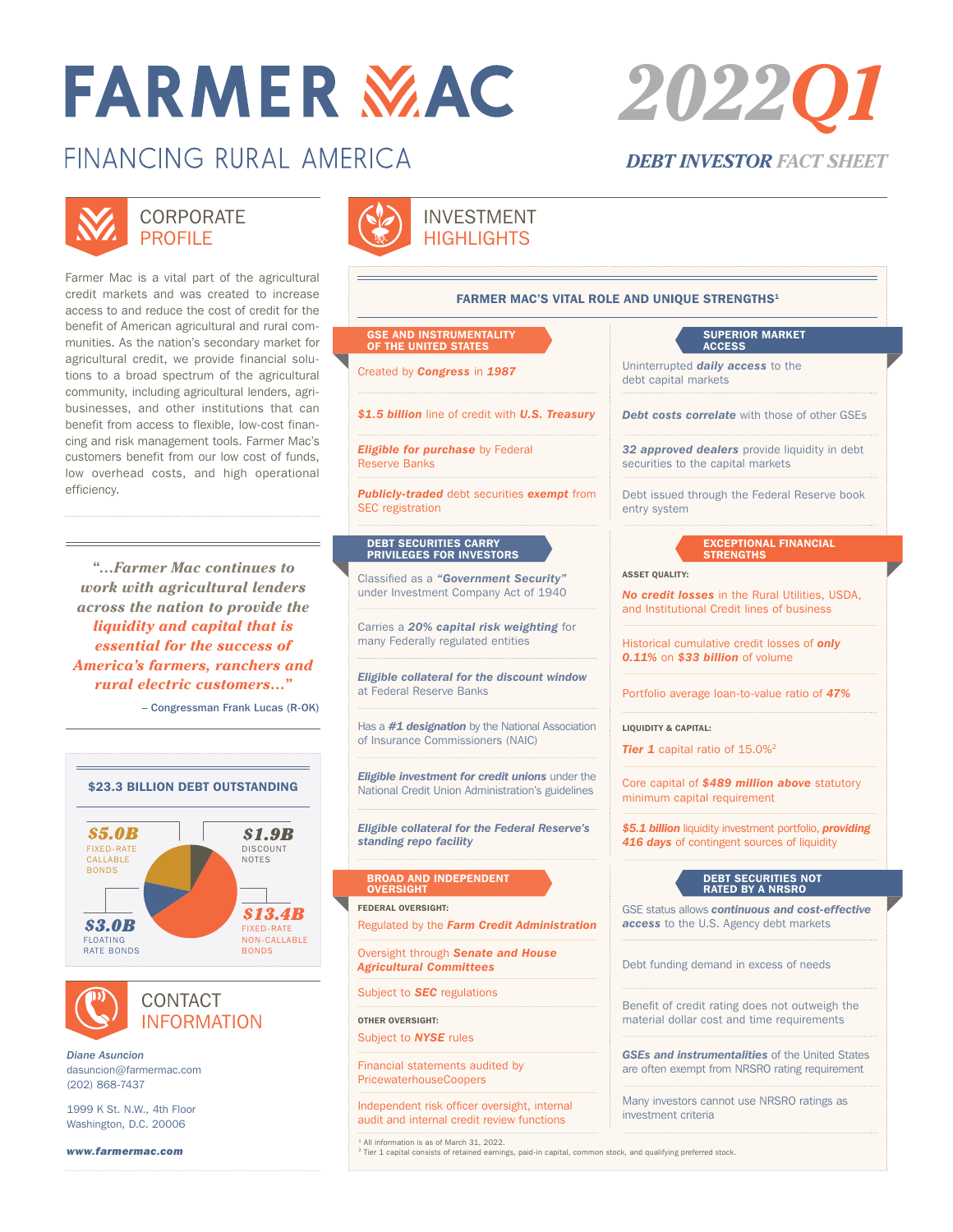# **FARMER MAC**

## FINANCING RURAL AMFRICA



#### **CORPORATE** PROFILE

Farmer Mac is a vital part of the agricultural credit markets and was created to increase access to and reduce the cost of credit for the benefit of American agricultural and rural communities. As the nation's secondary market for agricultural credit, we provide financial solutions to a broad spectrum of the agricultural community, including agricultural lenders, agribusinesses, and other institutions that can benefit from access to flexible, low-cost financing and risk management tools. Farmer Mac's customers benefit from our low cost of funds, low overhead costs, and high operational efficiency.

*"…Farmer Mac continues to work with agricultural lenders across the nation to provide the liquidity and capital that is essential for the success of America's farmers, ranchers and rural electric customers…"*

– Congressman Frank Lucas (R-OK)





CONTACT INFORMATION

*Diane Asuncion* dasuncion@farmermac.com (202) 868-7437

1999 K St. N.W., 4th Floor Washington, D.C. 20006

*www.farmermac.com*



#### INVESTMENT **HIGHLIGHTS**

#### FARMER MAC'S VITAL ROLE AND UNIQUE STRENGTHS<sup>1</sup>

#### GSE AND INSTRUMENTALITY OF THE UNITED STATES

*Eligible for purchase* by Federal Reserve Banks

*Publicly-traded* debt securities *exempt* from SEC registration

### DEBT SECURITIES CARRY PRIVILEGES FOR INVESTORS

Classified as a *"Government Security"* under Investment Company Act of 1940

Carries a *20% capital risk weighting* for many Federally regulated entities

*Eligible collateral for the discount window* at Federal Reserve Banks

Has a *#1 designation* by the National Association of Insurance Commissioners (NAIC)

*Eligible investment for credit unions* under the National Credit Union Administration's guidelines

*Eligible collateral for the Federal Reserve's standing repo facility*

## BROAD AND INDEPENDENT OVERSIGHT

FEDERAL OVERSIGHT:

Regulated by the *Farm Credit Administration*

Oversight through *Senate and House Agricultural Committees*

Subject to *SEC* regulations

OTHER OVERSIGHT: Subject to *NYSE* rules

Financial statements audited by PricewaterhouseCoopers

Independent risk officer oversight, internal audit and internal credit review functions

<sup>1</sup> All information is as of March 31, 2022. <sup>2</sup> Tier 1 capital consists of retained earnings, paid-in capital, common stock, and qualifying preferred stock.

#### SUPERIOR MARKET ACCESS

Created by *Congress* in *<sup>1987</sup>* Uninterrupted *daily access* to the debt capital markets

*\$1.5 billion* line of credit with *U.S. Treasury Debt costs correlate* with those of other GSEs

*32 approved dealers* provide liquidity in debt securities to the capital markets

Debt issued through the Federal Reserve book entry system

## EXCEPTIONAL FINANCIAL STRENGTHS

#### ASSET QUALITY:

*No credit losses* in the Rural Utilities, USDA, and Institutional Credit lines of business

Historical cumulative credit losses of *only 0.11%* on *\$33 billion* of volume

Portfolio average loan-to-value ratio of *47%*

LIQUIDITY & CAPITAL:

Floating Rate Bonds

**Tier 1** capital ratio of 15.0%<sup>2</sup>

Core capital of *\$489 million above* statutory minimum capital requirement

416 days of contingent sources of liquidity *\$5.1 billion* liquidity investment portfolio, *providing* 

#### DEBT SECURITIES NOT RATED BY A NRSRO Fixed-Rate Non-Callable Bonds

GSE status allows *continuous and cost-effective access* to the U.S. Agency debt markets

Debt funding demand in excess of needs

Benefit of credit rating does not outweigh the material dollar cost and time requirements

*GSEs and instrumentalities* of the United States are often exempt from NRSRO rating requirement

Many investors cannot use NRSRO ratings as investment criteria

*2022Q1*

*DEBT INVESTOR FACT SHEET*